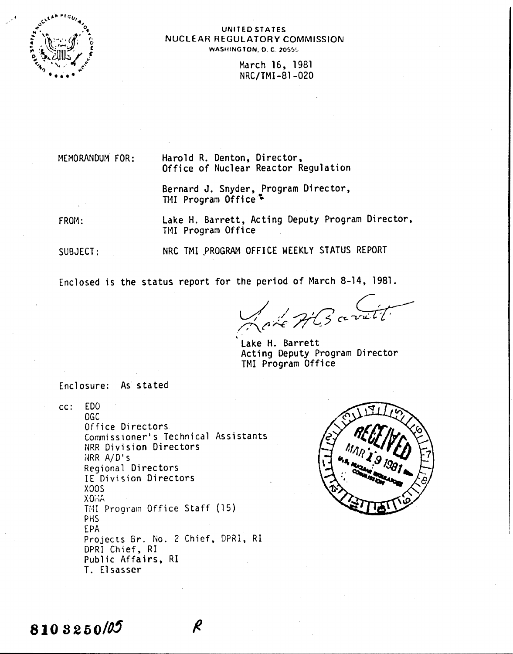

### UNITED STATES NUCLEAR REGULATORY COMMISSION WASHINGTON, D. C. 20555

March 16, 1981 NRC/TMI-81-020

MEMORANDUM FOR:

Harold R. Denton, Director, Office of Nuclear Reactor Regulation

Bernard J. Snyder, Program Director, TMI Program Office<sup>5</sup>

FROM:

Lake H. Barrett, Acting Deputy Program Director, TMI Program Office

SUBJECT:

NRC TMI .PROGRAM OFFICE WEEKLY STATUS REPORT

Enclosed is the status report for the period of March 8-14, 1981.

*J.//'Jy?C"~* /7\.r *r-.c /T ~;;*

Lake H. Barrett Acting Deputy Program Director TMI Program Office

Enclosure: As stated

cc: EDO OGe Office Directors Commissioner's Technical Assistants NRR Division Directors  $NRR A/D's$ Regional Directors IE Division Directors XOOS XOi.;A TMI Program Office Staff (15) PHS EPA Projects Br. No. 2 Chief, DPRI, RI DPRI Chief, RI Public Affairs, RI T. Elsasser



8103250/05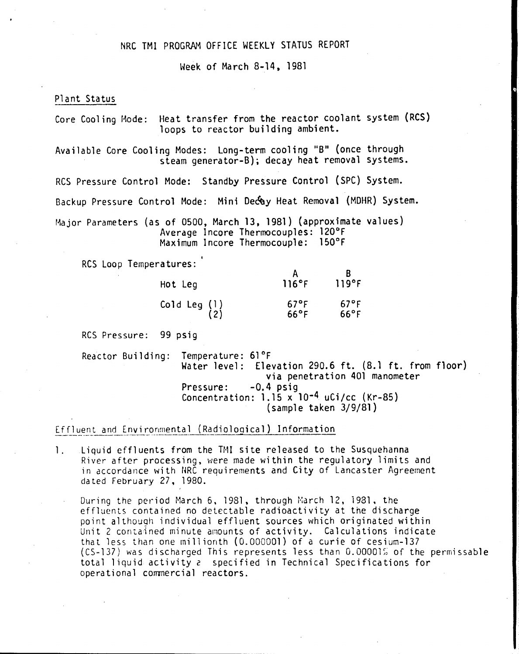## NRC TMI PROGRAM OFFICE WEEKLY STATUS REPORT

Week of March 8-14, 1981

#### Plant Status

Core Cooling Mode: Heat transfer from the reactor coolant system (RCS) loops to reactor building ambient.

Available Core Cooling Modes: Long-term cooling "B" (once through steam generator-B); decay heat removal systems.

RCS Pressure Control Mode: Standby Pressure Control (SPC) System.

Backup Pressure Control Mode: Mini Oe&y Heat Removal (MOHR) System.

Major Parameters (as of 0500, March 13, 1981) (approximate values) Average Incore Thermocouples: 120°F Maximum Incore Thermocouple: 150°F

RCS Loop Temperatures:

| Hot Leg                                                              | 116°F                            | 119°F                            |
|----------------------------------------------------------------------|----------------------------------|----------------------------------|
| $\begin{array}{c} \texttt{Co1d Leg (1)} \\ \texttt{(2)} \end{array}$ | $67^{\circ}$ F<br>$66^{\circ}$ F | $67^{\circ}$ F<br>$66^{\circ}$ F |

RCS Pressure: 99 psig

Reactor Building: Temperature: 61°F Water level: Elevation 290.6 ft. (8.1 ft. from floor) via penetration 401 manometer Pressure: -0.4 psig Concentration:  $1.15 \times 10^{-4}$  uCi/cc (Kr-85) (sample taken 3/9/81)

Effluent and Environmental (Radiological) Information

1. Liquid effluents from the TMI site released to the Susquehanna River after processing, were made within the regulatory limits and in accordance with HRC requirements and City of Lancaster Agreement dated February 27, 1980.

During the period March 6, 1981. through March 12, 1931. the effluents contained no detectable radioactivity at the discharge point although individual effluent sources which originated within Unit 2 contained minute amounts of activity. Calculations indicate that less than one millionth (0.000001) of a curie of cesium-137  $(CS-137)$  was discharged This represents less than  $0.00001\%$  of the permissable total liquid activity *<sup>c</sup>* specified in Technical Specifications for operational commercial reactors.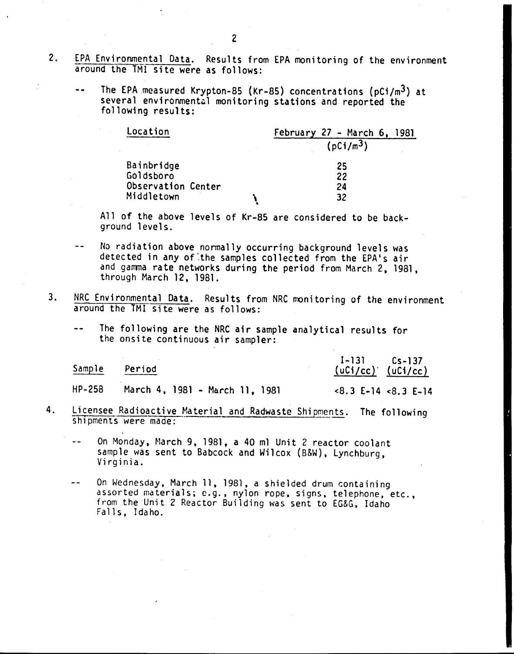- 2. EPA Environmental Data. Results from EPA monitoring of the environment around the 1Ml site were as follows:
	- $\overline{\phantom{a}}$ The EPA measured Krypton-8S (Kr-8S) concentrations (pCi/m3) at several environmental monitoring stations and reported the following results:

| Location                        |  | February 27 - March 6, 1981 |  |  |
|---------------------------------|--|-----------------------------|--|--|
|                                 |  | (pCi/m <sup>3</sup> )       |  |  |
| Bainbridge                      |  | 25                          |  |  |
| Goldsboro<br>Observation Center |  | 22<br>24                    |  |  |
| Middletown                      |  | 32                          |  |  |

All of the above levels of Kr-85 are considered to be background levels.

- $-1$ No radiation above normally occurring background levels was detected in any of the samples collected from the EPA's air and gamma rate networks during the period from March 2, 1981, through March 12, 1981.
- 3. NRC Environmental Data. Results from NRC monitoring of the environment around the TMI site were as follows:
	- The following are the NRC air sample analytical results for the onsite continuous air sampler:

| Sample | Period                                                                                                                                                                                                                                                                                           | $I-131$ $Cs-137$<br>$(uCi/cc)'$ $(uCi/cc)$                                                                                                                                                                                                                                                                                         |  |  |
|--------|--------------------------------------------------------------------------------------------------------------------------------------------------------------------------------------------------------------------------------------------------------------------------------------------------|------------------------------------------------------------------------------------------------------------------------------------------------------------------------------------------------------------------------------------------------------------------------------------------------------------------------------------|--|--|
| HP-258 | March 4, 1981 - March 11, 1981                                                                                                                                                                                                                                                                   | $\langle 8.3 \t{E} - 14 \t{8.3 E} - 14 \t{8.4 E} \cdot 14 \t{8.6 E} \cdot 14 \t{8.6 E} \cdot 14 \t{8.6 E} \cdot 14 \t{8.6 E} \cdot 14 \t{8.6 E} \cdot 14 \t{8.6 E} \cdot 14 \t{8.6 E} \cdot 14 \t{8.6 E} \cdot 14 \t{8.6 E} \cdot 14 \t{8.6 E} \cdot 14 \t{8.6 E} \cdot 14 \t{8.6 E} \cdot 14 \t{8.6 E} \cdot 14 \t{8.6 E} \cdot $ |  |  |
|        | $\mathbf{A}$ and $\mathbf{A}$ and $\mathbf{A}$ and $\mathbf{A}$ are $\mathbf{A}$ and $\mathbf{A}$ and $\mathbf{A}$ are $\mathbf{A}$ and $\mathbf{A}$ are $\mathbf{A}$ and $\mathbf{A}$ are $\mathbf{A}$ and $\mathbf{A}$ are $\mathbf{A}$ and $\mathbf{A}$ are $\mathbf{A}$ and $\mathbf{A}$ are |                                                                                                                                                                                                                                                                                                                                    |  |  |

4. Licensee Radioactive Material and Radwaste Shipments. The following shipments were made:

On Monday, March 9, 1981, a 40 ml Unit 2 reactor coolant sample was sent to Babcock and Wilcox (B&W), Lynchburg, Virginia.

 $-$ On Wednesday, March 11, 1981, a shielded drum containing assorted materials; e.g., nylon rope, signs, telephone, etc., from the Unit 2 Reactor Building was sent to EG&G, Idaho Falls. Idaho.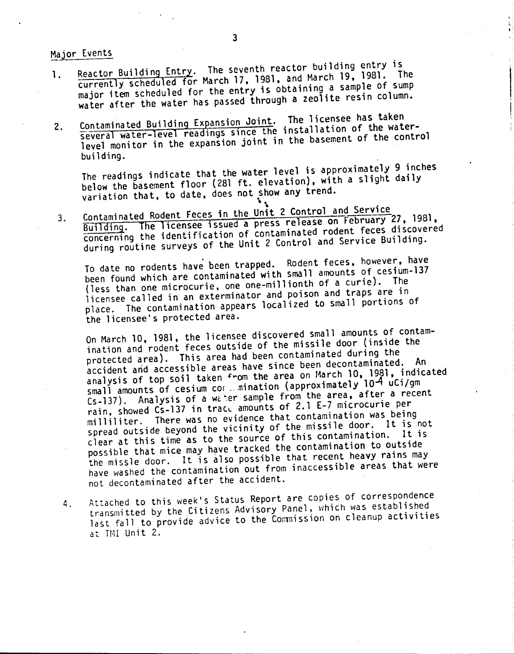Maior Events

- 1. Reactor Building Entry. The seventh reactor building entry is<br>1. Reactor Building Entry. The seventh reactor building entry is currently scheduled for March 17. 1981. and March 19, 1981. The major item scheduled for the entry is obtaining a sample of sump water after the water has passed through a zeolite resin column.
- Contaminated Building Expansion Joint. The licensee has taken Contaminated Building Expansion Joint. The Titenset May below.<br>Several water-level readings since the installation of the water-2. Several water-level readings since the installation of the control<br>level monitor in the expansion joint in the basement of the control building.

The readings indicate that the water level is approximately 9 inches below the basement floor (281 ft. elevation), with a slight daily variation that, to date, does not show any trend.

3. Contaminated Rodent Feces in the Unit 2 Control and Service Building. The licensee issued a press release on February 27, 1981, concerning the identification of contaminated rodent feces discovered during routine surveys of the Unit 2 Control and Service Building.

To date no rodents have been trapped. Rodent feces, however, have been found which are contaminated with small amounts of cesium-137 (less than one microcurie. one one-millionth of a curie). The licensee called in an exterminator and poison and traps are in place. The contamination appears localized to small portions of the licensee's protected area.

On March 10, 1981, the licensee discovered small amounts of contamination and rodent feces outside of the missile door (inside the protected area). This area had been contaminated during the accident arid accessible areas have since been decontaminated. An analysis of top soil taken from the area on March 10, 1981, indicated small amounts of cesium cor. mination (approximately 10-4 uCi/gm Cs-137). Analysis of a water sample from the area, after a recent rain, showed Cs-137 in tract amounts of 2.1 E-7 microcurie per milliliter. There was no evidence that contamination was being spread outside beyond the vicinity of the missile door. It is not clear at this time as to the source of this contamination. It is possible that mice may have tracked the contamination to outside the missle door. It is also possible that recent heavy rains may have washed the contamination out from inaccessible areas that were not decontaminated after the accident.

4. Attached to this week's Status Report are copies of correspondence transmitted by the Citizens Advisory Panel. which was established last fall to provide advice to the Commission on cleanup activities at TMI Unit 2.

"